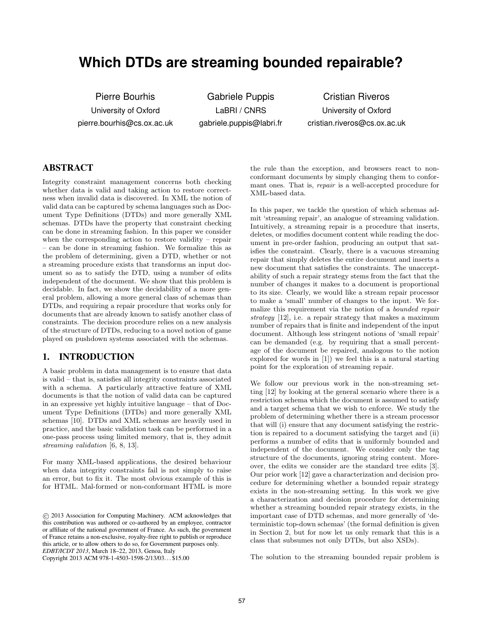# **Which DTDs are streaming bounded repairable?**

Pierre Bourhis University of Oxford pierre.bourhis@cs.ox.ac.uk

Gabriele Puppis LaBRI / CNRS gabriele.puppis@labri.fr

Cristian Riveros University of Oxford cristian.riveros@cs.ox.ac.uk

## ABSTRACT

Integrity constraint management concerns both checking whether data is valid and taking action to restore correctness when invalid data is discovered. In XML the notion of valid data can be captured by schema languages such as Document Type Definitions (DTDs) and more generally XML schemas. DTDs have the property that constraint checking can be done in streaming fashion. In this paper we consider when the corresponding action to restore validity – repair – can be done in streaming fashion. We formalize this as the problem of determining, given a DTD, whether or not a streaming procedure exists that transforms an input document so as to satisfy the DTD, using a number of edits independent of the document. We show that this problem is decidable. In fact, we show the decidability of a more general problem, allowing a more general class of schemas than DTDs, and requiring a repair procedure that works only for documents that are already known to satisfy another class of constraints. The decision procedure relies on a new analysis of the structure of DTDs, reducing to a novel notion of game played on pushdown systems associated with the schemas.

## 1. INTRODUCTION

A basic problem in data management is to ensure that data is valid – that is, satisfies all integrity constraints associated with a schema. A particularly attractive feature of XML documents is that the notion of valid data can be captured in an expressive yet highly intuitive language – that of Document Type Definitions (DTDs) and more generally XML schemas [10]. DTDs and XML schemas are heavily used in practice, and the basic validation task can be performed in a one-pass process using limited memory, that is, they admit streaming validation [6, 8, 13].

For many XML-based applications, the desired behaviour when data integrity constraints fail is not simply to raise an error, but to fix it. The most obvious example of this is for HTML. Mal-formed or non-conformant HTML is more

the rule than the exception, and browsers react to nonconformant documents by simply changing them to conformant ones. That is, repair is a well-accepted procedure for XML-based data.

In this paper, we tackle the question of which schemas admit 'streaming repair', an analogue of streaming validation. Intuitively, a streaming repair is a procedure that inserts, deletes, or modifies document content while reading the document in pre-order fashion, producing an output that satisfies the constraint. Clearly, there is a vacuous streaming repair that simply deletes the entire document and inserts a new document that satisfies the constraints. The unacceptability of such a repair strategy stems from the fact that the number of changes it makes to a document is proportional to its size. Clearly, we would like a stream repair processor to make a 'small' number of changes to the input. We formalize this requirement via the notion of a bounded repair strategy [12], i.e. a repair strategy that makes a maximum number of repairs that is finite and independent of the input document. Although less stringent notions of 'small repair' can be demanded (e.g. by requiring that a small percentage of the document be repaired, analogous to the notion explored for words in [1]) we feel this is a natural starting point for the exploration of streaming repair.

We follow our previous work in the non-streaming setting [12] by looking at the general scenario where there is a restriction schema which the document is assumed to satisfy and a target schema that we wish to enforce. We study the problem of determining whether there is a stream processor that will (i) ensure that any document satisfying the restriction is repaired to a document satisfying the target and (ii) performs a number of edits that is uniformly bounded and independent of the document. We consider only the tag structure of the documents, ignoring string content. Moreover, the edits we consider are the standard tree edits [3]. Our prior work [12] gave a characterization and decision procedure for determining whether a bounded repair strategy exists in the non-streaming setting. In this work we give a characterization and decision procedure for determining whether a streaming bounded repair strategy exists, in the important case of DTD schemas, and more generally of 'deterministic top-down schemas' (the formal definition is given in Section 2, but for now let us only remark that this is a class that subsumes not only DTDs, but also XSDs).

The solution to the streaming bounded repair problem is

<sup>©</sup> 2013 Association for Computing Machinery. ACM acknowledges that this contribution was authored or co-authored by an employee, contractor or affiliate of the national government of France. As such, the government of France retains a non-exclusive, royalty-free right to publish or reproduce this article, or to allow others to do so, for Government purposes only. *EDBT/ICDT 2013*, March 18–22, 2013, Genoa, Italy

Copyright 2013 ACM 978-1-4503-1598-2/13/03. . . \$15.00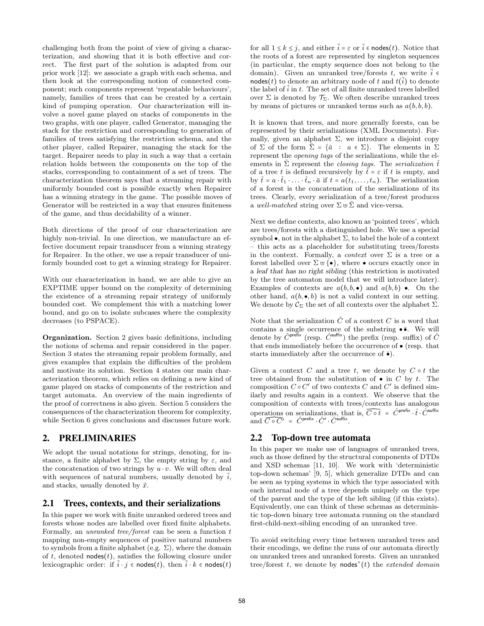challenging both from the point of view of giving a characterization, and showing that it is both effective and correct. The first part of the solution is adapted from our prior work [12]: we associate a graph with each schema, and then look at the corresponding notion of connected component; such components represent 'repeatable behaviours', namely, families of trees that can be created by a certain kind of pumping operation. Our characterization will involve a novel game played on stacks of components in the two graphs, with one player, called Generator, managing the stack for the restriction and corresponding to generation of families of trees satisfying the restriction schema, and the other player, called Repairer, managing the stack for the target. Repairer needs to play in such a way that a certain relation holds between the components on the top of the stacks, corresponding to containment of a set of trees. The characterization theorem says that a streaming repair with uniformly bounded cost is possible exactly when Repairer has a winning strategy in the game. The possible moves of Generator will be restricted in a way that ensures finiteness of the game, and thus decidability of a winner.

Both directions of the proof of our characterization are highly non-trivial. In one direction, we manufacture an effective document repair transducer from a winning strategy for Repairer. In the other, we use a repair transducer of uniformly bounded cost to get a winning strategy for Repairer.

With our characterization in hand, we are able to give an EXPTIME upper bound on the complexity of determining the existence of a streaming repair strategy of uniformly bounded cost. We complement this with a matching lower bound, and go on to isolate subcases where the complexity decreases (to PSPACE).

Organization. Section 2 gives basic definitions, including the notions of schema and repair considered in the paper. Section 3 states the streaming repair problem formally, and gives examples that explain the difficulties of the problem and motivate its solution. Section 4 states our main characterization theorem, which relies on defining a new kind of game played on stacks of components of the restriction and target automata. An overview of the main ingredients of the proof of correctness is also given. Section 5 considers the consequences of the characterization theorem for complexity, while Section 6 gives conclusions and discusses future work.

#### 2. PRELIMINARIES

We adopt the usual notations for strings, denoting, for instance, a finite alphabet by  $\Sigma$ , the empty string by  $\varepsilon$ , and the concatenation of two strings by  $u \cdot v$ . We will often deal with sequences of natural numbers, usually denoted by  $\vec{i}$ , and stacks, usually denoted by  $\vec{x}$ .

#### 2.1 Trees, contexts, and their serializations

In this paper we work with finite unranked ordered trees and forests whose nodes are labelled over fixed finite alphabets. Formally, an unranked tree/forest can be seen a function t mapping non-empty sequences of positive natural numbers to symbols from a finite alphabet (e.g.  $\Sigma$ ), where the domain of  $t$ , denoted **nodes** $(t)$ , satisfies the following closure under lexicographic order: if  $\vec{i} \cdot j \in \text{nodes}(t)$ , then  $\vec{i} \cdot k \in \text{nodes}(t)$ 

for all  $1 \leq k \leq j$ , and either  $\vec{i} = \varepsilon$  or  $\vec{i} \in \text{nodes}(t)$ . Notice that the roots of a forest are represented by singleton sequences (in particular, the empty sequence does not belong to the domain). Given an unranked tree/forests t, we write  $\vec{i} \in \mathbb{R}$  $\textsf{nodes}(t)$  to denote an arbitrary node of t and  $t(i)$  to denote the label of  $\overline{i}$  in t. The set of all finite unranked trees labelled over  $\Sigma$  is denoted by  $\mathcal{T}_{\Sigma}$ . We often describe unranked trees by means of pictures or unranked terms such as  $a(b, b, b)$ .

It is known that trees, and more generally forests, can be represented by their serializations (XML Documents). Formally, given an alphabet  $\Sigma$ , we introduce a disjoint copy of  $\Sigma$  of the form  $\overline{\Sigma} = {\overline{a} \; : \; a \in \Sigma}$ . The elements in  $\Sigma$ represent the opening tags of the serializations, while the elements in  $\bar{\Sigma}$  represent the *closing tags*. The *serialization*  $\hat{t}$ of a tree t is defined recursively by  $\tilde{t} = \varepsilon$  if t is empty, and by  $\hat{t} = a \cdot \hat{t}_1 \cdot \ldots \cdot \hat{t}_n \cdot \bar{a}$  if  $t = a(t_1, \ldots, t_n)$ . The serialization of a forest is the concatenation of the serializations of its trees. Clearly, every serialization of a tree/forest produces a well-matched string over  $\Sigma \uplus \overline{\Sigma}$  and vice-versa.

Next we define contexts, also known as 'pointed trees', which are trees/forests with a distinguished hole. We use a special symbol  $\bullet$ , not in the alphabet  $\Sigma$ , to label the hole of a context – this acts as a placeholder for substituting trees/forests in the context. Formally, a *context* over  $\Sigma$  is a tree or a forest labelled over  $\Sigma \uplus {\{\bullet\}}$ , where  $\bullet$  occurs exactly once in a leaf that has no right sibling (this restriction is motivated by the tree automaton model that we will introduce later). Examples of contexts are  $a(b, b, \bullet)$  and  $a(b, b) \bullet$ . On the other hand,  $a(b, \bullet, b)$  is not a valid context in our setting. We denote by  $\mathcal{C}_{\Sigma}$  the set of all contexts over the alphabet  $\Sigma$ .

Note that the serialization  $\hat{C}$  of a context C is a word that contains a single occurrence of the substring  $\bullet \overline{\bullet}$ . We will denote by  $\hat{C}^{\text{prefix}}$  (resp.  $\hat{C}^{\text{suffix}}$ ) the prefix (resp. suffix) of  $\hat{C}$ that ends immediately before the occurrence of ● (resp. that starts immediately after the occurrence of  $\bar{\bullet}$ ).

Given a context C and a tree t, we denote by  $C \circ t$  the tree obtained from the substitution of  $\bullet$  in C by t. The composition  $C \circ C'$  of two contexts C and  $C'$  is defined similarly and results again in a context. We observe that the composition of contexts with trees/contexts has analogous operations on serializations, that is,  $\widehat{C \circ t}$  =  $\widehat{C}^{\text{prefix}} \cdot \hat{t} \cdot \widehat{C}^{\text{suffix}}$ and  $\widehat{C \circ C'} = \widehat{C}^{\mathsf{prefix}} \cdot \widehat{C'} \cdot \widehat{C}^{\mathsf{suffix}}.$ 

#### 2.2 Top-down tree automata

In this paper we make use of languages of unranked trees, such as those defined by the structural components of DTDs and XSD schemas [11, 10]. We work with 'deterministic top-down schemas' [9, 5], which generalize DTDs and can be seen as typing systems in which the type associated with each internal node of a tree depends uniquely on the type of the parent and the type of the left sibling (if this exists). Equivalently, one can think of these schemas as deterministic top-down binary tree automata running on the standard first-child-next-sibling encoding of an unranked tree.

To avoid switching every time between unranked trees and their encodings, we define the runs of our automata directly on unranked trees and unranked forests. Given an unranked tree/forest  $t$ , we denote by nodes<sup>+</sup>( $t$ ) the extended domain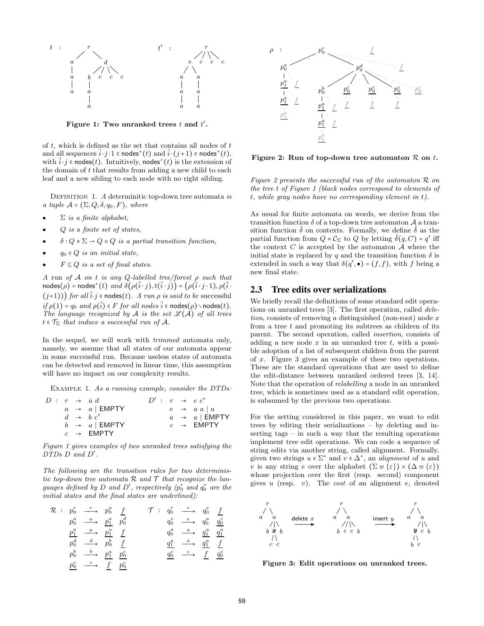

Figure 1: Two unranked trees  $t$  and  $t'$ .

of  $t$ , which is defined as the set that contains all nodes of  $t$ and all sequences  $\vec{i} \cdot j \cdot 1 \in \mathsf{nodes}^+(t)$  and  $\vec{i} \cdot (j+1) \in \mathsf{nodes}^+(t)$ , with  $\vec{i} \cdot j \in \text{nodes}(t)$ . Intuitively, nodes<sup>+</sup>(t) is the extension of the domain of  $t$  that results from adding a new child to each leaf and a new sibling to each node with no right sibling.

DEFINITION 1. A determinitic top-down tree automata is a tuple  $\mathcal{A} = (\Sigma, Q, \delta, q_0, F)$ , where

- $\Sigma$  is a finite alphabet,
- $Q$  is a finite set of states,
- $\delta$  :  $Q \times \Sigma \rightarrow Q \times Q$  is a partial transition function,
- $q_0 \in Q$  is an initial state,
- $F \subseteq Q$  is a set of final states.

A run of A on t is any Q-labelled tree/forest  $\rho$  such that  $\mathsf{nodes}(\rho) = \mathsf{nodes}^+(t) \ \textit{and} \ \delta\big(\rho(\vec{i}\cdot j), t(\vec{i}\cdot j)\big) = \big(\rho(\vec{i}\cdot j\cdot 1), \rho(\vec{i}\cdot j)\big)$  $(j+1))$ ) for all  $\vec{i} \cdot j \in \text{nodes}(t)$ . A run  $\rho$  is said to be successful if  $\rho(1) = q_0$  and  $\rho(\vec{i}) \in F$  for all nodes  $\vec{i} \in \text{nodes}(\rho) \setminus \text{nodes}(t)$ . The language recognized by A is the set  $\mathcal{L}(\mathcal{A})$  of all trees  $t \in \mathcal{T}_{\Sigma}$  that induce a successful run of A.

In the sequel, we will work with *trimmed* automata only, namely, we assume that all states of our automata appear in some successful run. Because useless states of automata can be detected and removed in linear time, this assumption will have no impact on our complexity results.

EXAMPLE 1. As a running example, consider the  $DTDs$ :

| $D: r \rightarrow a d$ |  |                              |  |  | $D' : r \rightarrow e c^*$ |
|------------------------|--|------------------------------|--|--|----------------------------|
|                        |  | $a \rightarrow a \mid$ EMPTY |  |  | $e \rightarrow a a   a$    |
|                        |  | $d \rightarrow b c^*$        |  |  | $a \rightarrow a$   EMPTY  |
|                        |  | $b \rightarrow a$   EMPTY    |  |  | $c \rightarrow$ FMPTY      |
|                        |  | $c \rightarrow$ FMPTY        |  |  |                            |

Figure 1 gives examples of two unranked trees satisfying the DTDs D and D'.

The following are the transition rules for two deterministic top-down tree automata  $R$  and  $T$  that recognize the languages defined by D and D', respectively  $(p_0^r$  and  $q_0^r$  are the initial states and the final states are underlined):

|  | $\mathcal{R}$ : $p_0^r$ $\longrightarrow$ $p_0^a$ f   |  |  |  | $\mathcal{T} \; : \; q_0^r \; \xrightarrow{r} \; q_0^e \; \underline{f}$ |  |
|--|-------------------------------------------------------|--|--|--|--------------------------------------------------------------------------|--|
|  | $p_0^a \longrightarrow \underline{p_1^a} \quad p_0^d$ |  |  |  | $q_0^e \longrightarrow q_0^a \quad q_0^c$                                |  |
|  | $p_1^a \longrightarrow p_1^a$ f                       |  |  |  | $q_0^a \longrightarrow q_1^a q_1^a$                                      |  |
|  | $p_0^d \xrightarrow{d} p_0^b$ f                       |  |  |  | $q_1^a \longrightarrow q_1^a \longrightarrow$                            |  |
|  | $p_0^b \longrightarrow p_1^a p_0^c$                   |  |  |  | $q_0^c \xrightarrow{c} f \qquad q_0^c$                                   |  |
|  | $p_0^c \xrightarrow{c} f \quad p_0^c$                 |  |  |  |                                                                          |  |



Figure 2: Run of top-down tree automaton  $R$  on  $t$ .

Figure 2 presents the successful run of the automaton  $\mathcal R$  on the tree t of Figure 1 (black nodes correspond to elements of t, while gray nodes have no corresponding element in t).

As usual for finite automata on words, we derive from the transition function  $\delta$  of a top-down tree automaton  $\mathcal A$  a transition function  $\hat{\delta}$  on contexts. Formally, we define  $\hat{\delta}$  as the partial function from  $Q \times C_{\Sigma}$  to Q by letting  $\hat{\delta}(q, C) = q'$  iff the context  $C$  is accepted by the automaton  $A$  where the initial state is replaced by q and the transition function  $\delta$  is extended in such a way that  $\delta(q', \bullet) = (f, f)$ , with f being a new final state.

#### 2.3 Tree edits over serializations

We briefly recall the definitions of some standard edit operations on unranked trees [3]. The first operation, called deletion, consists of removing a distinguished (non-root) node  $x$ from a tree  $t$  and promoting its subtrees as children of its parent. The second operation, called insertion, consists of adding a new node  $x$  in an unranked tree  $t$ , with a possible adoption of a list of subsequent children from the parent of x. Figure 3 gives an example of these two operations. These are the standard operations that are used to define the edit-distance between unranked ordered trees [3, 14]. Note that the operation of relabelling a node in an unranked tree, which is sometimes used as a standard edit operation, is subsumed by the previous two operations.

For the setting considered in this paper, we want to edit trees by editing their serializations – by deleting and inserting tags – in such a way that the resulting operations implement tree edit operations. We can code a sequence of string edits via another string, called alignment. Formally, given two strings  $u \in \Sigma^*$  and  $v \in \Delta^*$ , an *alignment* of u and v is any string e over the alphabet  $(\Sigma \cup {\epsilon}) \times (\Delta \cup {\epsilon})$ whose projection over the first (resp. second) component gives  $u$  (resp.  $v$ ). The *cost* of an alignment  $e$ , denoted



Figure 3: Edit operations on unranked trees.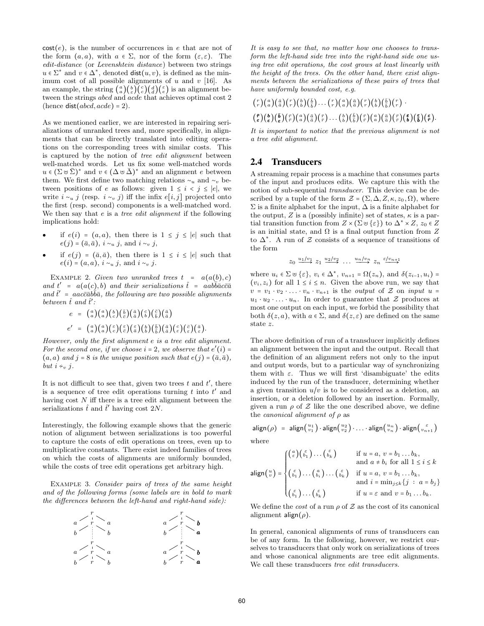$cost(e)$ , is the number of occurrences in e that are not of the form  $(a, a)$ , with  $a \in \Sigma$ , nor of the form  $(\varepsilon, \varepsilon)$ . The edit-distance (or Levenshtein distance) between two strings  $u \in \Sigma^*$  and  $v \in \Delta^*$ , denoted  $\textsf{dist}(u, v)$ , is defined as the minimum cost of all possible alignments of u and  $v$  [16]. As an example, the string  $\binom{a}{a}\binom{b}{c}\binom{c}{c}\binom{d}{d}\binom{e}{e}$  is an alignment between the strings abcd and acde that achieves optimal cost 2 (hence  $dist(abcd,acde) = 2$ ).

As we mentioned earlier, we are interested in repairing serializations of unranked trees and, more specifically, in alignments that can be directly translated into editing operations on the corresponding trees with similar costs. This is captured by the notion of tree edit alignment between well-matched words. Let us fix some well-matched words  $u \in (\Sigma \uplus \overline{\Sigma})^*$  and  $v \in (\Delta \uplus \overline{\Delta})^*$  and an alignment e between them. We first define two matching relations  $\sim_u$  and  $\sim_v$  between positions of e as follows: given  $1 \leq i \leq j \leq |e|$ , we write  $i \sim_u j$  (resp.  $i \sim_v j$ ) iff the infix  $e[i, j]$  projected onto the first (resp. second) components is a well-matched word. We then say that  $e$  is a *tree edit alignment* if the following implications hold:

- if  $e(i) = (a, a)$ , then there is  $1 \leq j \leq |e|$  such that  $e(j) = (\bar{a}, \bar{a}), i \sim_u j$ , and  $i \sim_v j$ ,
- if  $e(j) = (\bar{a}, \bar{a})$ , then there is  $1 \leq i \leq |e|$  such that  $e(i) = (a, a), i \sim_u j$ , and  $i \sim_v j$ .

EXAMPLE 2. Given two unranked trees  $t = a(a(b), c)$ and  $t' = a(a(c), b)$  and their serializations  $\hat{t} = aab\overline{b}\overline{a}c\overline{c}\overline{a}$ and  $\hat{t}' = aac\bar{c}\bar{a}b\bar{b}\bar{a}$ , the following are two possible alignments between  $\hat{t}$  and  $\hat{t}'$ :

$$
e = \begin{pmatrix} a \\ a \end{pmatrix} \begin{pmatrix} a \\ a \end{pmatrix} \begin{pmatrix} b \\ c \end{pmatrix} \begin{pmatrix} \overline{b} \\ \overline{c} \end{pmatrix} \begin{pmatrix} \overline{a} \\ \overline{a} \end{pmatrix} \begin{pmatrix} \overline{c} \\ \overline{b} \end{pmatrix} \begin{pmatrix} \overline{a} \\ \overline{b} \end{pmatrix} \begin{pmatrix} \overline{a} \\ \overline{a} \end{pmatrix}
$$

$$
e' = \begin{pmatrix} a \\ a \end{pmatrix} \begin{pmatrix} a \\ a \end{pmatrix} \begin{pmatrix} \overline{c} \\ \overline{a} \end{pmatrix} \begin{pmatrix} \overline{c} \\ \overline{c} \end{pmatrix} \begin{pmatrix} \overline{c} \\ \overline{b} \end{pmatrix} \begin{pmatrix} \overline{b} \\ \overline{b} \end{pmatrix} \begin{pmatrix} \overline{a} \\ \overline{b} \end{pmatrix} \begin{pmatrix} \overline{c} \\ \overline{c} \end{pmatrix} \begin{pmatrix} \overline{c} \\ \overline{c} \end{pmatrix} \begin{pmatrix} \overline{a} \\ \overline{c} \end{pmatrix}.
$$

However, only the first alignment e is a tree edit alignment. For the second one, if we choose  $i = 2$ , we observe that  $e'(i) =$  $(a, a)$  and  $j = 8$  is the unique position such that  $e(j) = (\bar{a}, \bar{a})$ , but  $i \nleftrightarrow j$ .

It is not difficult to see that, given two trees  $t$  and  $t'$ , there is a sequence of tree edit operations turning  $t$  into  $t'$  and having cost  $N$  iff there is a tree edit alignment between the serializations  $\hat{t}$  and  $\hat{t}'$  having cost 2N.

Interestingly, the following example shows that the generic notion of alignment between serializations is too powerful to capture the costs of edit operations on trees, even up to multiplicative constants. There exist indeed families of trees on which the costs of alignments are uniformly bounded, while the costs of tree edit operations get arbitrary high.

EXAMPLE 3. Consider pairs of trees of the same height and of the following forms (some labels are in bold to mark the differences between the left-hand and right-hand side):



It is easy to see that, no matter how one chooses to transform the left-hand side tree into the right-hand side one using tree edit operations, the cost grows at least linearly with the height of the trees. On the other hand, there exist alignments between the serializations of these pairs of trees that have uniformly bounded cost, e.g.

## $\binom{r}{r}\binom{a}{a}\left(\frac{\bar{a}}{\bar{a}}\right)\binom{r}{r}\left(\frac{b}{b}\right)\left(\frac{\bar{b}}{\bar{b}}\right)\ldots \binom{r}{r}\binom{a}{a}\left(\frac{\bar{a}}{\bar{a}}\right)\left(\frac{r}{r}\right)\left(\frac{b}{b}\right)\left(\frac{\bar{b}}{\bar{b}}\right)\left(\frac{r}{r}\right)\,\cdot$  $\binom{\bar{r}}{\varepsilon}\binom{\bar{b}}{\varepsilon}\binom{\bar{b}}{\bar{r}}\binom{\bar{a}}{\bar{a}}\binom{\bar{a}}{\bar{a}}\binom{\bar{r}}{\bar{r}} \ldots \binom{\bar{b}}{\bar{b}}\binom{\bar{b}}{\bar{b}}\binom{\bar{r}}{\bar{r}}\binom{\bar{a}}{\bar{a}}\binom{\bar{a}}{\bar{a}}\binom{\bar{r}}{\bar{b}}\binom{\bar{c}}{\bar{b}}\binom{\bar{c}}{\bar{b}}\binom{\bar{c}}{\bar{b}}\binom{\bar{c}}{\bar{b}}$

It is important to notice that the previous alignment is not a tree edit alignment.

#### 2.4 Transducers

A streaming repair process is a machine that consumes parts of the input and produces edits. We capture this with the notion of sub-sequential transducer. This device can be described by a tuple of the form  $\mathcal{Z} = (\Sigma, \Delta, Z, \kappa, z_0, \Omega)$ , where  $\Sigma$  is a finite alphabet for the input,  $\Delta$  is a finite alphabet for the output, Z is a (possibly infinite) set of states,  $\kappa$  is a partial transition function from  $Z \times (\Sigma \cup \{\varepsilon\})$  to  $\Delta^* \times Z$ ,  $z_0 \in Z$ is an initial state, and  $\Omega$  is a final output function from  $Z$ to  $\Delta^*$ . A run of  $\mathcal Z$  consists of a sequence of transitions of the form

 $z_0 \xrightarrow{u_1/v_1} z_1 \xrightarrow{u_2/v_2} \dots \xrightarrow{u_n/v_n} z_n \xrightarrow{\varepsilon/v_{n+1}}$ 

where  $u_i \in \Sigma \uplus {\varepsilon}$ ,  $v_i \in \Delta^*$ ,  $v_{n+1} = \Omega(z_n)$ , and  $\delta(z_{i-1}, u_i) =$  $(v_i, z_i)$  for all  $1 \leq i \leq n$ . Given the above run, we say that  $v = v_1 \cdot v_2 \cdot \ldots \cdot v_n \cdot v_{n+1}$  is the *output* of  $\mathcal Z$  on *input*  $u =$  $u_1 \cdot u_2 \cdot \ldots \cdot u_n$ . In order to guarantee that  $\mathcal Z$  produces at most one output on each input, we forbid the possibility that both  $\delta(z, a)$ , with  $a \in \Sigma$ , and  $\delta(z, \varepsilon)$  are defined on the same state z.

The above definition of run of a transducer implicitly defines an alignment between the input and the output. Recall that the definition of an alignment refers not only to the input and output words, but to a particular way of synchronizing them with  $\varepsilon$ . Thus we will first 'disambiguate' the edits induced by the run of the transducer, determining whether a given transition  $u/v$  is to be considered as a deletion, an insertion, or a deletion followed by an insertion. Formally, given a run  $\rho$  of  $\mathcal Z$  like the one described above, we define the *canonical alignment of*  $\rho$  as

$$
\text{align}(\rho) = \text{align}(\begin{smallmatrix} u_1 \\ v_1 \end{smallmatrix}) \cdot \text{align}(\begin{smallmatrix} u_2 \\ v_2 \end{smallmatrix}) \cdot \ldots \cdot \text{align}(\begin{smallmatrix} u_n \\ v_n \end{smallmatrix}) \cdot \text{align}(\begin{smallmatrix} \varepsilon \\ v_{n+1} \end{smallmatrix})
$$
\nwhere

$$
\mathsf{lign}\left(\begin{array}{c}\n\ell \\
v\n\end{array}\right) = \n\begin{cases}\n\begin{pmatrix}\n\alpha \\
\varepsilon\n\end{pmatrix}\n\begin{pmatrix}\n\varepsilon \\
b_1\n\end{pmatrix}\n\ldots\n\begin{pmatrix}\n\varepsilon \\
b_k\n\end{pmatrix}\n\qquad\n\text{if } u = a, v = b_1 \ldots b_k, \\
\text{and } a \neq b_i \text{ for all } 1 \leq i \leq k \\
\begin{pmatrix}\n\varepsilon \\
b_1\n\end{pmatrix}\n\ldots\n\begin{pmatrix}\n\varepsilon \\
b_i\n\end{pmatrix}\n\ldots\n\begin{pmatrix}\n\varepsilon \\
b_k\n\end{pmatrix}\n\qquad\n\text{if } u = a, v = b_1 \ldots b_k, \\
\text{and } i = \min_{j \leq k} \{j : a = b_j\} \\
\begin{pmatrix}\n\varepsilon \\
b_1\n\end{pmatrix}\n\ldots\n\begin{pmatrix}\n\varepsilon \\
b_k\n\end{pmatrix}\n\qquad\n\text{if } u = \varepsilon \text{ and } v = b_1 \ldots b_k.\n\end{cases}
$$

We define the *cost* of a run  $\rho$  of  $\mathcal Z$  as the cost of its canonical alignment align( $\rho$ ).

In general, canonical alignments of runs of transducers can be of any form. In the following, however, we restrict ourselves to transducers that only work on serializations of trees and whose canonical alignments are tree edit alignments. We call these transducers tree edit transducers.

a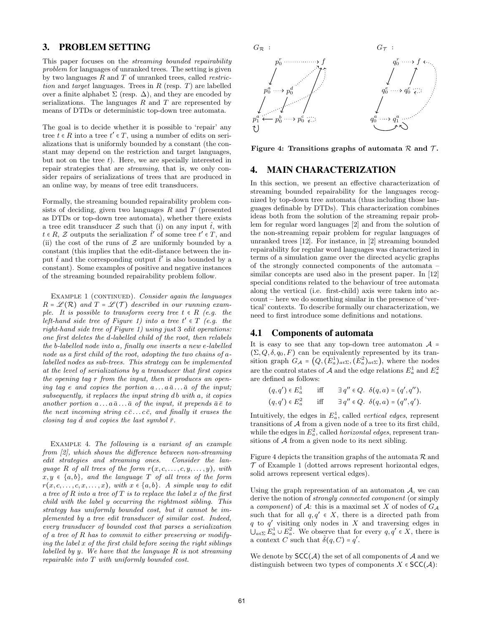#### 3. PROBLEM SETTING

This paper focuses on the streaming bounded repairability problem for languages of unranked trees. The setting is given by two languages  $R$  and  $T$  of unranked trees, called *restric*tion and target languages. Trees in  $R$  (resp.  $T$ ) are labelled over a finite alphabet  $\Sigma$  (resp.  $\Delta$ ), and they are encoded by serializations. The languages  $R$  and  $T$  are represented by means of DTDs or deterministic top-down tree automata.

The goal is to decide whether it is possible to 'repair' any tree  $t \in R$  into a tree  $t' \in T$ , using a number of edits on serializations that is uniformly bounded by a constant (the constant may depend on the restriction and target languages, but not on the tree  $t$ ). Here, we are specially interested in repair strategies that are streaming, that is, we only consider repairs of serializations of trees that are produced in an online way, by means of tree edit transducers.

Formally, the streaming bounded repairability problem consists of deciding, given two languages  $R$  and  $T$  (presented as DTDs or top-down tree automata), whether there exists a tree edit transducer  $\mathcal Z$  such that (i) on any input  $\hat t$ , with  $t \in R$ ,  $\mathcal Z$  outputs the serialization  $\hat t'$  of some tree  $t' \in T$ , and (ii) the cost of the runs of  $\mathcal Z$  are uniformly bounded by a constant (this implies that the edit-distance between the input  $\hat{t}$  and the corresponding output  $\hat{t}'$  is also bounded by a constant). Some examples of positive and negative instances of the streaming bounded repairability problem follow.

EXAMPLE 1 (CONTINUED). Consider again the languages  $R = \mathscr{L}(\mathcal{R})$  and  $T = \mathscr{L}(\mathcal{T})$  described in our running example. It is possible to transform every tree  $t \in R$  (e.g. the left-hand side tree of Figure 1) into a tree  $t' \in T$  (e.g. the right-hand side tree of Figure 1) using just 3 edit operations: one first deletes the d-labelled child of the root, then relabels the b-labelled node into a, finally one inserts a new e-labelled node as a first child of the root, adopting the two chains of alabelled nodes as sub-trees. This strategy can be implemented at the level of serializations by a transducer that first copies the opening tag r from the input, then it produces an opening tag e and copies the portion  $a \dots a \overline{a} \dots \overline{a}$  of the input;  $subsequently, it replaces the input string db with a, it copies$ another portion  $a \dots a \bar{a} \dots \bar{a}$  of the input, it prepends  $\bar{a} \bar{e}$  to the next incoming string  $c\bar{c} \ldots c\bar{c}$ , and finally it erases the closing tag d and copies the last symbol  $\bar{r}$ .

EXAMPLE 4. The following is a variant of an example from [2], which shows the difference between non-streaming edit strategies and streaming ones. Consider the language R of all trees of the form  $r(x, c, \ldots, c, y, \ldots, y)$ , with  $x, y \in \{a, b\}$ , and the language T of all trees of the form  $r(x, c, \ldots, c, x, \ldots, x)$ , with  $x \in \{a, b\}$ . A simple way to edit a tree of R into a tree of T is to replace the label x of the first child with the label y occurring the rightmost sibling. This strategy has uniformly bounded cost, but it cannot be implemented by a tree edit transducer of similar cost. Indeed, every transducer of bounded cost that parses a serialization of a tree of R has to commit to either preserving or modifying the label x of the first child before seeing the right siblings labelled by y. We have that the language  $R$  is not streaming repairable into T with uniformly bounded cost.



Figure 4: Transitions graphs of automata  $\mathcal R$  and  $\mathcal T$ .

#### 4. MAIN CHARACTERIZATION

In this section, we present an effective characterization of streaming bounded repairability for the languages recognized by top-down tree automata (thus including those languages definable by DTDs). This characterization combines ideas both from the solution of the streaming repair problem for regular word languages [2] and from the solution of the non-streaming repair problem for regular languages of unranked trees [12]. For instance, in [2] streaming bounded repairability for regular word languages was characterized in terms of a simulation game over the directed acyclic graphs of the strongly connected components of the automata – similar concepts are used also in the present paper. In [12] special conditions related to the behaviour of tree automata along the vertical (i.e. first-child) axis were taken into account – here we do something similar in the presence of 'vertical' contexts. To describe formally our characterization, we need to first introduce some definitions and notations.

#### 4.1 Components of automata

It is easy to see that any top-down tree automaton  $A =$  $(\Sigma, Q, \delta, q_0, F)$  can be equivalently represented by its transition graph  $G_A = (Q, (E_a^1)_{a \in \Sigma}, (E_a^2)_{a \in \Sigma})$ , where the nodes are the control states of  $A$  and the edge relations  $E_a^1$  and  $E_a^2$ are defined as follows:

$$
(q, q') \in E_a^1
$$
 iff  $\exists q'' \in Q$ .  $\delta(q, a) = (q', q'')$ ,  
\n $(q, q') \in E_a^2$  iff  $\exists q'' \in Q$ .  $\delta(q, a) = (q'', q')$ .

Intuitively, the edges in  $E_a^1$ , called *vertical edges*, represent transitions of A from a given node of a tree to its first child, while the edges in  $E_a^2$ , called *horizontal edges*, represent transitions of A from a given node to its next sibling.

Figure 4 depicts the transition graphs of the automata  $\mathcal{R}$  and  $\mathcal T$  of Example 1 (dotted arrows represent horizontal edges, solid arrows represent vertical edges).

Using the graph representation of an automaton  $A$ , we can derive the notion of strongly connected component (or simply a component) of A: this is a maximal set X of nodes of  $G_A$ such that for all  $q, q' \in X$ , there is a directed path from  $q$  to  $q'$  visiting only nodes in  $X$  and traversing edges in  $\bigcup_{a\in\Sigma} E_a^1 \cup E_a^2$ . We observe that for every  $q, q' \in X$ , there is a context C such that  $\hat{\delta}(q, C) = q'$ .

We denote by  $SCC(\mathcal{A})$  the set of all components of  $\mathcal{A}$  and we distinguish between two types of components  $X \in \mathsf{SCC}(\mathcal{A})$ :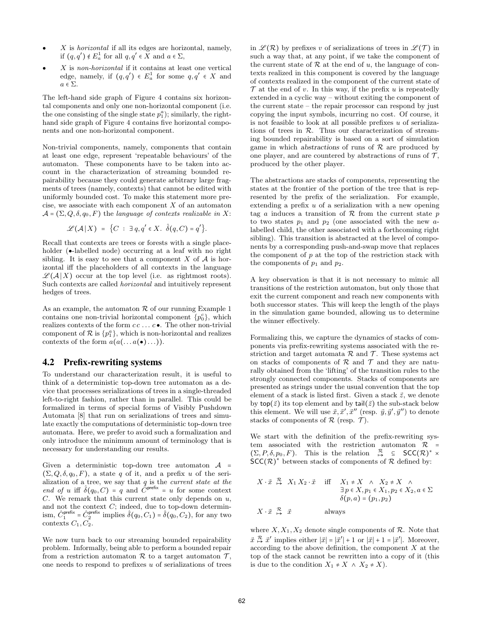- $X$  is *horizontal* if all its edges are horizontal, namely, if  $(q, q') \notin E_a^1$  for all  $q, q' \in \overrightarrow{X}$  and  $a \in \Sigma$ ,
- $X$  is non-horizontal if it contains at least one vertical edge, namely, if  $(q, q') \in E_a^1$  for some  $q, q' \in X$  and  $a\in\Sigma.$

The left-hand side graph of Figure 4 contains six horizontal components and only one non-horizontal component (i.e. the one consisting of the single state  $p_1^a$ ); similarly, the righthand side graph of Figure 4 contains five horizontal components and one non-horizontal component.

Non-trivial components, namely, components that contain at least one edge, represent 'repeatable behaviours' of the automaton. These components have to be taken into account in the characterization of streaming bounded repairability because they could generate arbitrary large fragments of trees (namely, contexts) that cannot be edited with uniformly bounded cost. To make this statement more precise, we associate with each component  $X$  of an automaton  $\mathcal{A} = (\Sigma, Q, \delta, q_0, F)$  the language of contexts realizable in X:

$$
\mathscr{L}(\mathcal{A}|X) = \{C : \exists q, q' \in X. \hat{\delta}(q, C) = q'\}.
$$

Recall that contexts are trees or forests with a single placeholder (●-labelled node) occurring at a leaf with no right sibling. It is easy to see that a component X of  $\mathcal A$  is horizontal iff the placeholders of all contexts in the language  $\mathscr{L}(A|X)$  occur at the top level (i.e. as rightmost roots). Such contexts are called horizontal and intuitively represent hedges of trees.

As an example, the automaton  $R$  of our running Example 1 contains one non-trivial horizontal component  $\{p_0^c\}$ , which realizes contexts of the form  $cc \ldots c \bullet$ . The other non-trivial component of  $\mathcal{R}$  is  $\{p_1^a\}$ , which is non-horizontal and realizes contexts of the form  $a(a(\ldots a(\bullet)\ldots)).$ 

#### 4.2 Prefix-rewriting systems

To understand our characterization result, it is useful to think of a deterministic top-down tree automaton as a device that processes serializations of trees in a single-threaded left-to-right fashion, rather than in parallel. This could be formalized in terms of special forms of Visibly Pushdown Automata [8] that run on serializations of trees and simulate exactly the computations of deterministic top-down tree automata. Here, we prefer to avoid such a formalization and only introduce the minimum amount of terminology that is necessary for understanding our results.

Given a deterministic top-down tree automaton  $A =$  $(\Sigma, Q, \delta, q_0, F)$ , a state q of it, and a prefix u of the serialization of a tree, we say that  $q$  is the *current state at the* end of u iff  $\hat{\delta}(q_0, C) = q$  and  $\hat{C}^{\text{prefix}} = u$  for some context C. We remark that this current state only depends on  $u$ , and not the context  $C$ ; indeed, due to top-down determinism,  $\hat{C}_1^{\text{prefix}} = \hat{C}_2^{\text{prefix}}$  implies  $\hat{\delta}(q_0, C_1) = \hat{\delta}(q_0, C_2)$ , for any two contexts  $C_1, C_2$ .

We now turn back to our streaming bounded repairability problem. Informally, being able to perform a bounded repair from a restriction automaton  $R$  to a target automaton  $T$ , one needs to respond to prefixes  $u$  of serializations of trees in  $\mathscr{L}(\mathcal{R})$  by prefixes v of serializations of trees in  $\mathscr{L}(\mathcal{T})$  in such a way that, at any point, if we take the component of the current state of  $R$  at the end of u, the language of contexts realized in this component is covered by the language of contexts realized in the component of the current state of  $\mathcal T$  at the end of v. In this way, if the prefix u is repeatedly extended in a cyclic way – without exiting the component of the current state – the repair processor can respond by just copying the input symbols, incurring no cost. Of course, it is not feasible to look at all possible prefixes  $u$  of serializations of trees in  $R$ . Thus our characterization of streaming bounded repairability is based on a sort of simulation game in which abstractions of runs of  $R$  are produced by one player, and are countered by abstractions of runs of  $\mathcal{T}$ , produced by the other player.

The abstractions are stacks of components, representing the states at the frontier of the portion of the tree that is represented by the prefix of the serialization. For example, extending a prefix  $u$  of a serialization with a new opening tag a induces a transition of  $R$  from the current state  $p$ to two states  $p_1$  and  $p_2$  (one associated with the new  $a$ labelled child, the other associated with a forthcoming right sibling). This transition is abstracted at the level of components by a corresponding push-and-swap move that replaces the component of  $p$  at the top of the restriction stack with the components of  $p_1$  and  $p_2$ .

A key observation is that it is not necessary to mimic all transitions of the restriction automaton, but only those that exit the current component and reach new components with both successor states. This will keep the length of the plays in the simulation game bounded, allowing us to determine the winner effectively.

Formalizing this, we capture the dynamics of stacks of components via prefix-rewriting systems associated with the restriction and target automata  $\mathcal R$  and  $\mathcal T$ . These systems act on stacks of components of  $R$  and  $T$  and they are naturally obtained from the 'lifting' of the transition rules to the strongly connected components. Stacks of components are presented as strings under the usual convention that the top element of a stack is listed first. Given a stack  $\vec{z}$ , we denote by  $top(\vec{z})$  its top element and by  $tail(\vec{z})$  the sub-stack below this element. We will use  $\vec{x}, \vec{x}', \vec{x}''$  (resp.  $\vec{y}, \vec{y}', \vec{y}'$ ) to denote stacks of components of  $\mathcal R$  (resp.  $\mathcal T$ ).

We start with the definition of the prefix-rewriting system associated with the restriction automaton  $\mathcal{R}$  =  $(\Sigma, P, \delta, p_0, F)$ . This is the relation  $\stackrel{\mathcal{R}}{\mapsto} \subseteq \mathsf{SCC}(\mathcal{R})^*$  ×  $SCC(\mathcal{R})^*$  between stacks of components of  $\mathcal R$  defined by:

$$
X \cdot \vec{x} \overset{\mathcal{R}}{\mapsto} X_1 X_2 \cdot \vec{x} \quad \text{iff} \quad X_1 \neq X \quad \land \quad X_2 \neq X \quad \land
$$
  
\n
$$
\exists p \in X, p_1 \in X_1, p_2 \in X_2, a \in \Sigma
$$
  
\n
$$
\delta(p, a) = (p_1, p_2)
$$
  
\n
$$
X \cdot \vec{x} \overset{\mathcal{R}}{\mapsto} \vec{x} \quad \text{always}
$$

where  $X, X_1, X_2$  denote single components of  $\mathcal R$ . Note that  $\vec{x} \overset{\mathcal{R}}{\mapsto} \vec{x}'$  implies either  $|\vec{x}| = |\vec{x}'| + 1$  or  $|\vec{x}| + 1 = |\vec{x}'|$ . Moreover, according to the above definition, the component  $X$  at the top of the stack cannot be rewritten into a copy of it (this is due to the condition  $X_1 \neq X \land X_2 \neq X$ ).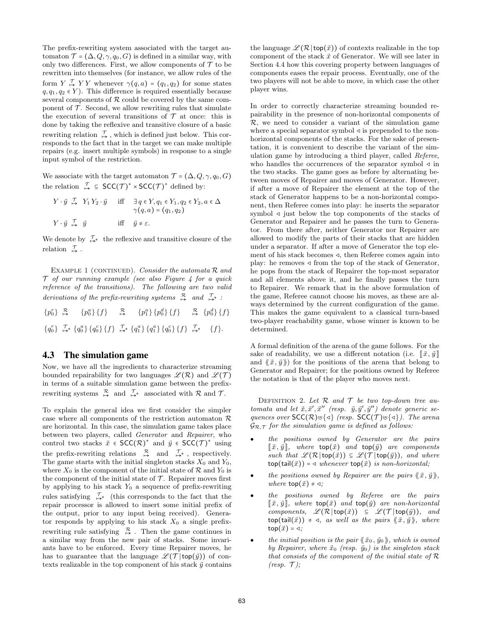The prefix-rewriting system associated with the target automaton  $\mathcal{T} = (\Delta, Q, \gamma, q_0, G)$  is defined in a similar way, with only two differences. First, we allow components of  $\mathcal T$  to be rewritten into themselves (for instance, we allow rules of the form  $Y \stackrel{\mathcal{T}}{\mapsto} YY$  whenever  $\gamma(q, a) = (q_1, q_2)$  for some states  $q, q_1, q_2 \in Y$ ). This difference is required essentially because several components of  $R$  could be covered by the same component of  $\mathcal T$ . Second, we allow rewriting rules that simulate the execution of several transitions of  $\mathcal T$  at once: this is done by taking the reflexive and transitive closure of a basic rewriting relation  $\stackrel{\mathcal{T}}{\mapsto}$ , which is defined just below. This corresponds to the fact that in the target we can make multiple repairs (e.g. insert multiple symbols) in response to a single input symbol of the restriction.

We associate with the target automaton  $\mathcal{T} = (\Delta, Q, \gamma, q_0, G)$ the relation  $\mathcal{F}_{\rightarrow} \subseteq \mathsf{SCC}(\mathcal{T})^* \times \mathsf{SCC}(\mathcal{T})^*$  defined by:

$$
Y \cdot \vec{y} \xrightarrow{\mathcal{T}} Y_1 Y_2 \cdot \vec{y} \quad \text{iff} \quad \exists q \in Y, q_1 \in Y_1, q_2 \in Y_2, a \in \Delta
$$

$$
\gamma(q, a) = (q_1, q_2)
$$

$$
Y \cdot \vec{y} \xrightarrow{\mathcal{T}} \vec{y} \quad \text{iff} \quad \vec{y} \neq \varepsilon.
$$

We denote by  $\mathcal{L}_{\mathbf{P}^*}$  the reflexive and transitive closure of the relation  $\mathcal{I}$ .

EXAMPLE 1 (CONTINUED). Consider the automata  $\mathcal R$  and  $T$  of our running example (see also Figure 4 for a quick reference of the transitions). The following are two valid derivations of the prefix-rewriting systems  $\mathbb{R}^n$  and  $\mathbb{Z}^*$ :

|  |  | $\{p_0^r\}\overset{\mathcal{R}}{\mapsto} \{p_0^a\}\{f\}\overset{\mathcal{R}}{\mapsto} \{p_1^a\}\{p_0^d\}\{f\}\overset{\mathcal{R}}{\mapsto} \{p_0^d\}\{f\}$ |  |
|--|--|-------------------------------------------------------------------------------------------------------------------------------------------------------------|--|
|  |  | ${q_0^r} \underset{\rightarrow}{\rightarrow} {f_*} {q_0^a} {q_0^c} {f} \$ $\rightarrow$ ${f_*} {q_1^a} {q_1^a} {q_0^c} {f}$ $\rightarrow$ ${f_*}$ ${f}.$    |  |

#### 4.3 The simulation game

Now, we have all the ingredients to characterize streaming bounded repairability for two languages  $\mathscr{L}(\mathcal{R})$  and  $\mathscr{L}(\mathcal{T})$ in terms of a suitable simulation game between the prefixrewriting systems  $\stackrel{\mathcal{R}}{\mapsto}$  and  $\stackrel{\mathcal{T}}{\mapsto}$  associated with  $\mathcal R$  and  $\mathcal T$ .

To explain the general idea we first consider the simpler case where all components of the restriction automaton  $\mathcal R$ are horizontal. In this case, the simulation game takes place between two players, called Generator and Repairer, who control two stacks  $\vec{x} \in \mathsf{SCC}(\mathcal{R})^*$  and  $\vec{y} \in \mathsf{SCC}(\mathcal{T})^*$  using the prefix-rewriting relations  $\stackrel{\mathcal{R}}{\mapsto}$  and  $\stackrel{\mathcal{T}}{\mapsto}$ , respectively. The game starts with the initial singleton stacks  $X_0$  and  $Y_0$ , where  $X_0$  is the component of the initial state of  $\mathcal R$  and  $Y_0$  is the component of the initial state of  $\mathcal T$ . Repairer moves first by applying to his stack  $Y_0$  a sequence of prefix-rewriting rules satisfying  $\mathcal{I}^*$  (this corresponds to the fact that the repair processor is allowed to insert some initial prefix of the output, prior to any input being received). Generator responds by applying to his stack  $X_0$  a single prefixrewriting rule satisfying  $\mathcal{R}$ . Then the game continues in a similar way from the new pair of stacks. Some invariants have to be enforced. Every time Repairer moves, he has to guarantee that the language  $\mathscr{L}(\mathcal{T} | \text{top}(\vec{y}))$  of contexts realizable in the top component of his stack  $\vec{y}$  contains the language  $\mathscr{L}(\mathcal{R} | \text{top}(\vec{x}))$  of contexts realizable in the top component of the stack  $\vec{x}$  of Generator. We will see later in Section 4.4 how this covering property between languages of components eases the repair process. Eventually, one of the two players will not be able to move, in which case the other player wins.

In order to correctly characterize streaming bounded repairability in the presence of non-horizontal components of R, we need to consider a variant of the simulation game where a special separator symbol ⊲ is prepended to the nonhorizontal components of the stacks. For the sake of presentation, it is convenient to describe the variant of the simulation game by introducing a third player, called Referee, who handles the occurrences of the separator symbol ⊲ in the two stacks. The game goes as before by alternating between moves of Repairer and moves of Generator. However, if after a move of Repairer the element at the top of the stack of Generator happens to be a non-horizontal component, then Referee comes into play: he inserts the separator symbol ⊲ just below the top components of the stacks of Generator and Repairer and he passes the turn to Generator. From there after, neither Generator nor Repairer are allowed to modify the parts of their stacks that are hidden under a separator. If after a move of Generator the top element of his stack becomes ⊲, then Referee comes again into play: he removes ⊲ from the top of the stack of Generator, he pops from the stack of Repairer the top-most separator and all elements above it, and he finally passes the turn to Repairer. We remark that in the above formulation of the game, Referee cannot choose his moves, as these are always determined by the current configuration of the game. This makes the game equivalent to a classical turn-based two-player reachability game, whose winner is known to be determined.

A formal definition of the arena of the game follows. For the sake of readability, we use a different notation (i.e.  $\left[\vec{x}, \vec{y}\right]$ ) and  $\langle \langle \vec{x}, \vec{y} \rangle \rangle$  for the positions of the arena that belong to Generator and Repairer; for the positions owned by Referee the notation is that of the player who moves next.

DEFINITION 2. Let  $\mathcal R$  and  $\mathcal T$  be two top-down tree automata and let  $\vec{x}, \vec{x}', \vec{x}''$  (resp.  $\vec{y}, \vec{y}', \vec{y}''$ ) denote generic sequences over  $SCC(\mathcal{R}) \cup \{ \triangleleft \}$  (resp.  $SCC(\mathcal{T}) \cup \{ \triangleleft \}$ ). The arena  $G_{\mathcal{R},\mathcal{T}}$  for the simulation game is defined as follows:

- the positions owned by Generator are the pairs  $\lbrack \! \lbrack \vec{x}, \vec{y} \rbrack \! \rbrack$ , where  $\text{top}(\vec{x})$  and  $\text{top}(\vec{y})$  are components such that  $\mathscr{L}(\mathcal{R} | \text{top}(\vec{x})) \subseteq \mathscr{L}(\mathcal{T} | \text{top}(\vec{y}))$ , and where  $top(tail(\vec{x})) = \triangleleft whenever top(\vec{x}) is non-horizontally;$
- the positions owned by Repairer are the pairs  $\langle \langle \vec{x}, \vec{y} \rangle \rangle$ , where  $top(\vec{x}) \neq \triangleleft$ ;
- the positions owned by Referee are the pairs  $\lbrack \! \lbrack \vec{x}, \vec{y} \rbrack \! \rbrack$ , where  $\text{top}(\vec{x})$  and  $\text{top}(\vec{y})$  are non-horizontal components,  $\mathscr{L}(\mathcal{R} | \text{top}(\vec{x})) \subseteq \mathscr{L}(\mathcal{T} | \text{top}(\vec{y}))$ , and top(tail( $\vec{x}$ )) ≠ ⊲, as well as the pairs  $\langle\!\langle \vec{x}, \vec{y} \rangle\!\rangle$ , where  $top(\vec{x}) = \triangleleft$ ;
- the initial position is the pair  $\langle \langle \vec{x}_0, \vec{y}_0 \rangle \rangle$ , which is owned by Repairer, where  $\vec{x}_0$  (resp.  $\vec{y}_0$ ) is the singleton stack that consists of the component of the initial state of R  $(resp. \mathcal{T})$ ;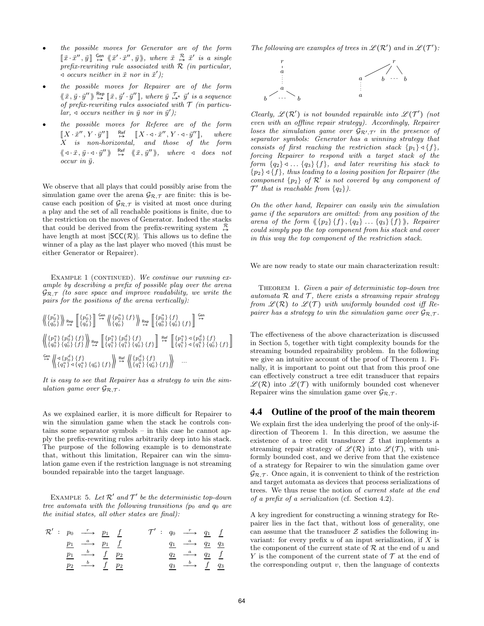- the possible moves for Generator are of the form  $\lbrack\!\lbrack\!\lbrack\ddot{x}\cdot\vec{x}'',\vec{y}\rbrack\rbrack,\text{ where }\vec{x}\;\stackrel{\mathcal{R}}{\mapsto}\vec{x}'\;\text{ is a single}$ prefix-rewriting rule associated with  $R$  (in particular,  $\leq$  occurs neither in  $\vec{x}$  nor in  $\vec{x}'$ );
- the possible moves for Repairer are of the form  $\langle \langle \vec{x}, \vec{y} \cdot \vec{y}' \rangle \rangle \stackrel{\text{Rep}}{\mapsto} [\vec{x}, \vec{y}' \cdot \vec{y}'']$ , where  $\vec{y} \stackrel{\tau}{\mapsto} \vec{y}'$  is a sequence of prefix-rewriting rules associated with  $T$  (in particu $lar, \triangleleft occurs neither in \bar{y} nor in \bar{y}'$
- the possible moves for Referee are of the form  $\llbracket X \cdot \vec{x}'', Y \cdot \vec{y}'' \rrbracket \quad \overset{\text{Ref}}{\mapsto} \quad \llbracket X \cdot \triangleleft \cdot \vec{x}'', Y \cdot \triangleleft \cdot \vec{y} \right.$  $where$ X is non-horizontal, and those of the form  $\langle \langle \triangleleft \cdot \vec{x}, \vec{y} \cdot \triangleleft \cdot \vec{y}'' \rangle \rangle \rangle \stackrel{\text{Ref}}{\mapsto} \langle \langle \vec{x}, \vec{y}'' \rangle \rangle$ , where  $\triangleleft$  does not occur in  $\vec{y}$ .

We observe that all plays that could possibly arise from the simulation game over the arena  $\mathcal{G}_{\mathcal{R},\mathcal{T}}$  are finite: this is because each position of  $\mathcal{G}_{\mathcal{R},\mathcal{T}}$  is visited at most once during a play and the set of all reachable positions is finite, due to the restriction on the moves of Generator. Indeed the stacks that could be derived from the prefix-rewriting system  $\mathcal{R}$ have length at most  $|SCC(\mathcal{R})|$ . This allows us to define the winner of a play as the last player who moved (this must be either Generator or Repairer).

EXAMPLE 1 (CONTINUED). We continue our running  $ex$ ample by describing a prefix of possible play over the arena  $\mathcal{G}_{\mathcal{R},\mathcal{T}}$  (to save space and improve readability, we write the pairs for the positions of the arena vertically):

$$
\left\langle \left\{q_{0}^{6}\right\}\right\rangle \underset{\text{rep}}{\text{Rep}} \left[\left\{q_{0}^{6}\right\}\right] \xrightarrow{\text{Gen}} \left\langle \left\{q_{0}^{6}\right\}\right\} \left\{f\right\} \underset{\text{rep}}{\text{Rep}} \left[\left\{q_{0}^{6}\right\}\right] \xrightarrow{\text{Gen}} \left\langle \left\{q_{0}^{6}\right\}\right\} \left\{f\right\} \right] \xrightarrow{\text{Rep}} \left[\left\{q_{0}^{6}\right\}\right] \left\{f\right\}
$$
\n
$$
\left\langle \left\{q_{0}^{6}\right\}\right\rangle \left\{f\right\} \underset{\text{rep}}{\text{Rep}} \left[\left\{q_{0}^{6}\right\}\right] \left\{f\right\} \right\} \xrightarrow{\text{Rep}} \left[\left\{q_{0}^{6}\right\}\right] \left\{f\right\}
$$
\n
$$
\left\langle \left\{q_{0}^{6}\right\}\right\rangle \left\{f\right\} \right\} \underset{\text{rep}}{\text{Rep}} \left[\left\{q_{1}^{6}\right\}\right\rangle \left\{f\right\} \right] \xrightarrow{\text{Rep}} \left[\left\{q_{1}^{6}\right\}\left\{f\right\}
$$
\n
$$
\left\langle \left\{q_{0}^{6}\right\}\right\rangle \left\{f\right\} \right] \xrightarrow{\text{Rep}} \left[\left\{q_{1}^{6}\right\}\left\{f\right\}
$$
\n
$$
\left\langle \left\{q_{1}^{6}\right\}\right\rangle \left\{f\right\} \right] \xrightarrow{\text{Rep}} \left[\left\{q_{1}^{6}\right\}\left\{f\right\}
$$
\n
$$
\left\langle \left\{q_{1}^{6}\right\}\right\rangle \left\{f\right\} \right] \xrightarrow{\text{Rep}} \left[\left\{q_{1}^{6}\right\}\left\{f\right\}
$$
\n
$$
\left\langle \left\{q_{1}^{6}\right\}\right\rangle \left\{f\right\} \right] \xrightarrow{\text{Rep}} \left[\left\{p_{1}^{6}\right\}\left\{f\right\}
$$
\n
$$
\left\langle \left\{q_{1}^{6}\right\}\right\rangle \left\{f\right
$$

It is easy to see that Repairer has a strategy to win the simulation game over  $\mathcal{G}_{\mathcal{R}}$   $\tau$ .

As we explained earlier, it is more difficult for Repairer to win the simulation game when the stack he controls contains some separator symbols – in this case he cannot apply the prefix-rewriting rules arbitrarily deep into his stack. The purpose of the following example is to demonstrate that, without this limitation, Repairer can win the simulation game even if the restriction language is not streaming bounded repairable into the target language.

EXAMPLE 5. Let  $\mathcal{R}'$  and  $\mathcal{T}'$  be the deterministic top-down tree automata with the following transitions  $(p_0 \text{ and } q_0 \text{ are})$ the initial states, all other states are final):

|  | $\mathcal{R}'$ : $p_0 \xrightarrow{r} \underline{p_1} f$        |  |  |  | $\mathcal{T}'$ : $q_0 \xrightarrow{r} q_1 f$        |  |
|--|-----------------------------------------------------------------|--|--|--|-----------------------------------------------------|--|
|  | $p_1 \xrightarrow{a} p_1 f$                                     |  |  |  | $q_1 \longrightarrow q_2 \qquad q_3$                |  |
|  | $\underline{p_1} \xrightarrow{b} \underline{f} \underline{p_2}$ |  |  |  | $q_2 \xrightarrow{a} \underline{q_2} \underline{f}$ |  |
|  | $p_2 \longrightarrow f p_2$                                     |  |  |  | $\frac{q_3}{q_3} \xrightarrow{b} \frac{f}{q_3}$     |  |

The following are examples of trees in  $\mathscr{L}(\mathcal{R}')$  and in  $\mathscr{L}(\mathcal{T}')$ :



Clearly,  $\mathscr{L}(\mathcal{R}')$  is not bounded repairable into  $\mathscr{L}(\mathcal{T}')$  (not even with an offline repair strategy). Accordingly, Repairer loses the simulation game over  $\mathcal{G}_{\mathcal{R}',\mathcal{T}'}$  in the presence of separator symbols: Generator has a winning strategy that consists of first reaching the restriction stack  $\{p_1\} \triangleleft \{f\},\$ forcing Repairer to respond with a target stack of the form  ${q_2} \triangleleft ... {q_3} \{f\}$ , and later rewriting his stack to  ${p_2} \triangleleft {f}$ , thus leading to a losing position for Repairer (the component  $\{p_2\}$  of  $\mathcal{R}'$  is not covered by any component of  $\mathcal{T}'$  that is reachable from  $\{q_2\}$ ).

On the other hand, Repairer can easily win the simulation game if the separators are omitted: from any position of the arena of the form  $\{p_2\} \{f\}, \{q_2\} \ldots \{q_3\} \{f\} \}$ , Repairer could simply pop the top component from his stack and cover in this way the top component of the restriction stack.

We are now ready to state our main characterization result:

THEOREM 1. Given a pair of deterministic top-down tree automata  $R$  and  $T$ , there exists a streaming repair strategy from  $\mathscr{L}(\mathcal{R})$  to  $\mathscr{L}(\mathcal{T})$  with uniformly bounded cost iff Repairer has a strategy to win the simulation game over  $\mathcal{G}_{\mathcal{R},\mathcal{T}}$ .

The effectiveness of the above characterization is discussed in Section 5, together with tight complexity bounds for the streaming bounded repairability problem. In the following we give an intuitive account of the proof of Theorem 1. Finally, it is important to point out that from this proof one can effectively construct a tree edit transducer that repairs  $\mathscr{L}(\mathcal{R})$  into  $\mathscr{L}(\mathcal{T})$  with uniformly bounded cost whenever Repairer wins the simulation game over  $\mathcal{G}_{\mathcal{R},\mathcal{T}}$ .

#### 4.4 Outline of the proof of the main theorem

We explain first the idea underlying the proof of the only-ifdirection of Theorem 1. In this direction, we assume the existence of a tree edit transducer  $\mathcal Z$  that implements a streaming repair strategy of  $\mathscr{L}(\mathcal{R})$  into  $\mathscr{L}(\mathcal{T})$ , with uniformly bounded cost, and we derive from that the existence of a strategy for Repairer to win the simulation game over  $\mathcal{G}_{\mathcal{R},\mathcal{T}}$ . Once again, it is convenient to think of the restriction and target automata as devices that process serializations of trees. We thus reuse the notion of current state at the end of a prefix of a serialization (cf. Section 4.2).

A key ingredient for constructing a winning strategy for Repairer lies in the fact that, without loss of generality, one can assume that the transducer  $Z$  satisfies the following invariant: for every prefix  $u$  of an input serialization, if  $X$  is the component of the current state of  $R$  at the end of u and Y is the component of the current state of  $\mathcal T$  at the end of the corresponding output  $v$ , then the language of contexts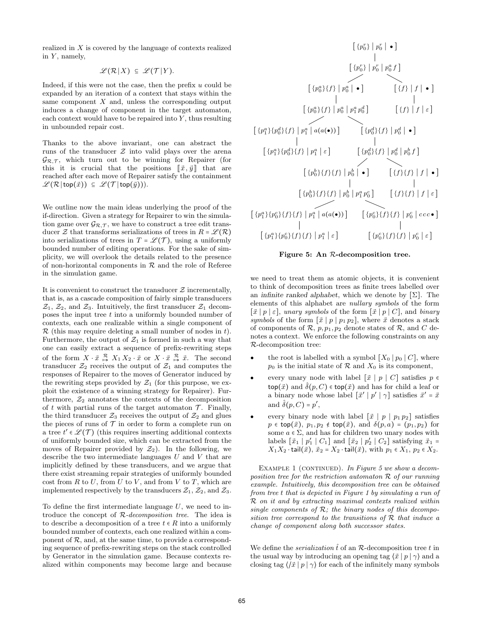realized in X is covered by the language of contexts realized in  $Y$ , namely,

$$
\mathscr{L}(\mathcal{R}|X) \subseteq \mathscr{L}(\mathcal{T}|Y).
$$

Indeed, if this were not the case, then the prefix  $u$  could be expanded by an iteration of a context that stays within the same component  $X$  and, unless the corresponding output induces a change of component in the target automaton, each context would have to be repaired into  $Y$ , thus resulting in unbounded repair cost.

Thanks to the above invariant, one can abstract the runs of the transducer  $Z$  into valid plays over the arena  $\mathcal{G}_{\mathcal{R},\mathcal{T}}$ , which turn out to be winning for Repairer (for this it is crucial that the positions  $\llbracket \vec{x}, \vec{y} \rrbracket$  that are reached after each move of Repairer satisfy the containment  $\mathscr{L}(\mathcal{R} | \text{top}(\vec{x})) \subseteq \mathscr{L}(\mathcal{T} | \text{top}(\vec{y}))).$ 

We outline now the main ideas underlying the proof of the if-direction. Given a strategy for Repairer to win the simulation game over  $\mathcal{G}_{\mathcal{R},\mathcal{T}}$ , we have to construct a tree edit transducer Z that transforms serializations of trees in  $R = \mathscr{L}(\mathcal{R})$ into serializations of trees in  $T = \mathscr{L}(\mathcal{T})$ , using a uniformly bounded number of editing operations. For the sake of simplicity, we will overlook the details related to the presence of non-horizontal components in  $R$  and the role of Referee in the simulation game.

It is convenient to construct the transducer  $\mathcal Z$  incrementally, that is, as a cascade composition of fairly simple transducers  $\mathcal{Z}_1$ ,  $\mathcal{Z}_2$ , and  $\mathcal{Z}_3$ . Intuitively, the first transducer  $\mathcal{Z}_1$  decomposes the input tree t into a uniformly bounded number of contexts, each one realizable within a single component of  $\mathcal R$  (this may require deleting a small number of nodes in t). Furthermore, the output of  $\mathcal{Z}_1$  is formed in such a way that one can easily extract a sequence of prefix-rewriting steps of the form  $X \cdot \vec{x} \overset{\mathcal{R}}{\mapsto} X_1 X_2 \cdot \vec{x}$  or  $X \cdot \vec{x} \overset{\mathcal{R}}{\mapsto} \vec{x}$ . The second transducer  $\mathcal{Z}_2$  receives the output of  $\mathcal{Z}_1$  and computes the responses of Repairer to the moves of Generator induced by the rewriting steps provided by  $\mathcal{Z}_1$  (for this purpose, we exploit the existence of a winning strategy for Repairer). Furthermore,  $\mathcal{Z}_2$  annotates the contexts of the decomposition of t with partial runs of the target automaton  $\mathcal{T}$ . Finally, the third transducer  $\mathcal{Z}_3$  receives the output of  $\mathcal{Z}_2$  and glues the pieces of runs of  ${\mathcal T}$  in order to form a complete run on a tree  $t' \in \mathcal{L}(\mathcal{T})$  (this requires inserting additional contexts of uniformly bounded size, which can be extracted from the moves of Repairer provided by  $\mathcal{Z}_2$ ). In the following, we describe the two intermediate languages  $U$  and  $V$  that are implicitly defined by these transducers, and we argue that there exist streaming repair strategies of uniformly bounded cost from  $R$  to  $U$ , from  $U$  to  $V$ , and from  $V$  to  $T$ , which are implemented respectively by the transducers  $\mathcal{Z}_1$ ,  $\mathcal{Z}_2$ , and  $\mathcal{Z}_3$ .

To define the first intermediate language  $U$ , we need to introduce the concept of R-decomposition tree. The idea is to describe a decomposition of a tree  $t \in R$  into a uniformly bounded number of contexts, each one realized within a component of  $\mathcal{R}$ , and, at the same time, to provide a corresponding sequence of prefix-rewriting steps on the stack controlled by Generator in the simulation game. Because contexts realized within components may become large and because



Figure 5: An R-decomposition tree.

we need to treat them as atomic objects, it is convenient to think of decomposition trees as finite trees labelled over an infinite ranked alphabet, which we denote by  $[\Sigma]$ . The elements of this alphabet are nullary symbols of the form  $[\vec{x} | p | \epsilon]$ , unary symbols of the form  $[\vec{x} | p | C]$ , and binary symbols of the form  $[\vec{x} | p | p_1 p_2]$ , where  $\vec{x}$  denotes a stack of components of  $\mathcal{R}, p, p_1, p_2$  denote states of  $\mathcal{R},$  and  $C$  denotes a context. We enforce the following constraints on any R-decomposition tree:

- the root is labelled with a symbol  $[X_0 | p_0 | C]$ , where  $p_0$  is the initial state of  $R$  and  $X_0$  is its component,
- every unary node with label  $[\vec{x} | p | C]$  satisfies  $p \in$ top( $\vec{x}$ ) and  $\hat{\delta}(p, C) \in \text{top}(\vec{x})$  and has for child a leaf or a binary node whose label  $[\vec{x}' | p' | \gamma]$  satisfies  $\vec{x}' = \vec{x}$ and  $\hat{\delta}(p, C) = p'$ ,
- every binary node with label  $[\vec{x} | p | p_1 p_2]$  satisfies  $p \in \text{top}(\vec{x}), p_1, p_2 \notin \text{top}(\vec{x}), \text{ and } \delta(p, a) = (p_1, p_2) \text{ for }$ some  $a \in \Sigma$ , and has for children two unary nodes with labels  $[\vec{x}_1 | p'_1 | C_1]$  and  $[\vec{x}_2 | p'_2 | C_2]$  satisfying  $\vec{x}_1$  =  $X_1X_2 \cdot \text{tail}(\vec{x}), \ \vec{x}_2 = X_2 \cdot \text{tail}(\vec{x}), \text{ with } p_1 \in X_1, \ p_2 \in X_2.$

EXAMPLE 1 (CONTINUED). In Figure 5 we show a decomposition tree for the restriction automaton  $R$  of our running example. Intuitively, this decomposition tree can be obtained from tree t that is depicted in Figure 1 by simulating a run of R on it and by extracting maximal contexts realized within single components of  $R$ ; the binary nodes of this decomposition tree correspond to the transitions of  $R$  that induce a change of component along both successor states.

We define the *serialization*  $\hat{t}$  of an  $\mathcal{R}$ -decomposition tree t in the usual way by introducing an opening tag  $\langle \vec{x} | p | \gamma \rangle$  and a closing tag  $\langle x | p | \gamma \rangle$  for each of the infinitely many symbols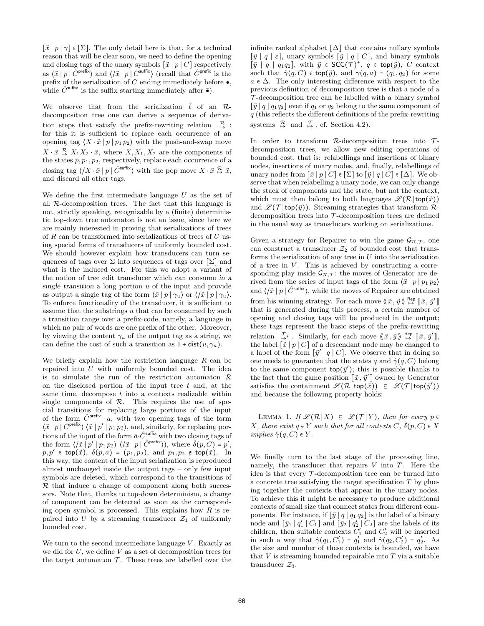$[\vec{x} | p | \gamma] \in [\Sigma]$ . The only detail here is that, for a technical reason that will be clear soon, we need to define the opening and closing tags of the unary symbols  $\left[\vec{x} \mid p \mid C\right]$  respectively as  $\langle \vec{x} | p | \vec{C}^{\text{prefix}} \rangle$  and  $\langle \vec{x} | p | \vec{C}^{\text{suffix}} \rangle$  (recall that  $\hat{C}^{\text{prefix}}$  is the prefix of the serialization of C ending immediately before  $\bullet$ , while  $\hat{C}^{\text{suffix}}$  is the suffix starting immediately after  $\bar{\bullet}$ ).

We observe that from the serialization  $\hat{t}$  of an  $\mathcal{R}_t$ decomposition tree one can derive a sequence of derivation steps that satisfy the prefix-rewriting relation  $\mathcal{R}$  : for this it is sufficient to replace each occurrence of an opening tag  $\langle X \cdot \vec{x} | p | p_1 p_2 \rangle$  with the push-and-swap move  $X \cdot \vec{x} \overset{\mathcal{R}}{\mapsto} X_1 X_2 \cdot \vec{x}$ , where  $X, X_1, X_2$  are the components of the states  $p, p_1, p_2$ , respectively, replace each occurrence of a closing tag  $\langle X \cdot \vec{x} \mid p \mid \hat{C}^{\text{suffix}} \rangle$  with the pop move  $X \cdot \vec{x} \stackrel{\mathcal{R}}{\mapsto} \vec{x}$ , and discard all other tags.

We define the first intermediate language  $U$  as the set of all R-decomposition trees. The fact that this language is not, strictly speaking, recognizable by a (finite) deterministic top-down tree automaton is not an issue, since here we are mainly interested in proving that serializations of trees of  $R$  can be transformed into serializations of trees of  $U$  using special forms of transducers of uniformly bounded cost. We should however explain how transducers can turn sequences of tags over  $\Sigma$  into sequences of tags over  $[\Sigma]$  and what is the induced cost. For this we adopt a variant of the notion of tree edit transducer which can consume in a single transition a long portion  $u$  of the input and provide as output a single tag of the form  $\langle \vec{x} | p | \gamma_u \rangle$  or  $\langle \vec{x} | p | \gamma_u \rangle$ . To enforce functionality of the transducer, it is sufficient to assume that the substrings u that can be consumed by such a transition range over a prefix-code, namely, a language in which no pair of words are one prefix of the other. Moreover, by viewing the content  $\gamma_u$  of the output tag as a string, we can define the cost of such a transition as  $1 + dist(u, \gamma_u)$ .

We briefly explain how the restriction language  $R$  can be repaired into  $U$  with uniformly bounded cost. The idea is to simulate the run of the restriction automaton  $\mathcal R$ on the disclosed portion of the input tree  $t$  and, at the same time, decompose  $t$  into a contexts realizable within single components of  $\mathcal{R}$ . This requires the use of special transitions for replacing large portions of the input of the form  $\hat{C}^{\text{prefix}} \cdot a$ , with two opening tags of the form  $\langle \vec{x} | p | \hat{C}^{\text{prefix}} \rangle$   $\langle \vec{x} | p' | p_1 p_2 \rangle$ , and, similarly, for replacing portions of the input of the form  $\bar{a} \cdot \hat{C}^{\text{suffix}}$  with two closing tags of the form  $\langle x | p' | p_1 p_2 \rangle \langle x | p | \hat{C}^{\text{prefix}} \rangle$ , where  $\hat{\delta}(p, C) = p'$ ,  $p, p' \in \mathsf{top}(\vec{x}), \; \delta(p, a) = (p_1, p_2), \; \text{and} \; p_1, p_2 \notin \mathsf{top}(\vec{x}).$  In this way, the content of the input serialization is reproduced almost unchanged inside the output tags – only few input symbols are deleted, which correspond to the transitions of  $R$  that induce a change of component along both successors. Note that, thanks to top-down determinism, a change of component can be detected as soon as the corresponding open symbol is processed. This explains how  $R$  is repaired into U by a streaming transducer  $\mathcal{Z}_1$  of uniformly bounded cost.

We turn to the second intermediate language  $V$ . Exactly as we did for  $U$ , we define  $V$  as a set of decomposition trees for the target automaton  $\mathcal T$ . These trees are labelled over the infinite ranked alphabet  $[\Delta]$  that contains nullary symbols  $[\vec{y} | q | \varepsilon]$ , unary symbols  $[\vec{y} | q | C]$ , and binary symbols  $[\vec{y} | q | q_1q_2],$  with  $\vec{y} \in \mathsf{SCC}(\mathcal{T})^+, q \in \mathsf{top}(\vec{y}), C$  context such that  $\hat{\gamma}(q, C) \in \text{top}(\vec{y})$ , and  $\gamma(q, a) = (q_1, q_2)$  for some  $a \in \Delta$ . The only interesting difference with respect to the previous definition of decomposition tree is that a node of a  $\mathcal{T}$ -decomposition tree can be labelled with a binary symbol  $\left[\vec{y} \mid q \mid q_1 q_2\right]$  even if  $q_1$  or  $q_2$  belong to the same component of  $q$  (this reflects the different definitions of the prefix-rewriting systems  $\stackrel{\mathcal{R}}{\mapsto}$  and  $\stackrel{\mathcal{T}}{\mapsto}$ , cf. Section 4.2).

In order to transform  $R$ -decomposition trees into  $T$ decomposition trees, we allow new editing operations of bounded cost, that is: relabellings and insertions of binary nodes, insertions of unary nodes, and, finally, relabellings of unary nodes from  $[\vec{x} | p | C] \in [\Sigma]$  to  $[\vec{y} | q | C] \in [\Delta]$ . We observe that when relabelling a unary node, we can only change the stack of components and the state, but not the context, which must then belong to both languages  $\mathscr{L}(\mathcal{R} | \text{top}(\vec{x}))$ and  $\mathscr{L}(\mathcal{T} | \text{top}(\vec{y}))$ . Streaming strategies that transform Rdecomposition trees into  $\mathcal T$ -decomposition trees are defined in the usual way as transducers working on serializations.

Given a strategy for Repairer to win the game  $\mathcal{G}_{\mathcal{R},\mathcal{T}}$ , one can construct a transducer  $\mathcal{Z}_2$  of bounded cost that transforms the serialization of any tree in  $U$  into the serialization of a tree in  $V$ . This is achieved by constructing a corresponding play inside  $\mathcal{G}_{\mathcal{R},\mathcal{T}}$ : the moves of Generator are derived from the series of input tags of the form  $\langle \vec{x} | p | p_1 p_2 \rangle$ and  $\langle l\vec{x} | p | \hat{C}^{\text{suffix}} \rangle$ , while the moves of Repairer are obtained from his winning strategy. For each move  $\langle \!\langle \vec{x}, \vec{y} \rangle \!\rangle \stackrel{\text{Rep}}{\mapsto} [\![ \vec{x}, \vec{y}' ]\!]$ that is generated during this process, a certain number of opening and closing tags will be produced in the output; these tags represent the basic steps of the prefix-rewriting relation  $\mathcal{T}_{\rightarrow^*}$ . Similarly, for each move  $\langle \! \langle \vec{x}, \vec{y} \rangle \! \rangle \stackrel{\text{Rep}}{\mapsto} [\! [ \vec{x}, \vec{y}'] \! ]$ , the label  $[\vec{x} | p | C]$  of a descendant node may be changed to a label of the form  $\left[\vec{y}'\mid q\mid C\right]$ . We observe that in doing so one needs to guarantee that the states q and  $\hat{\gamma}(q, C)$  belong to the same component  $top(\vec{y}')$ ; this is possible thanks to the fact that the game position  $\left[\!\left[ \vec{x}, \vec{y}'\right]\!\right]$  owned by Generator satisfies the containment  $\mathscr{L}(\mathcal{R}|\textsf{top}(\vec{x})) \subseteq \mathscr{L}(\mathcal{T}|\textsf{top}(\vec{y}'))$ and because the following property holds:

LEMMA 1. If  $\mathscr{L}(\mathcal{R}|X) \subseteq \mathscr{L}(\mathcal{T}|Y)$ , then for every  $p \in \mathcal{L}(\mathcal{T}|X)$ X, there exist  $q \in Y$  such that for all contexts  $C, \hat{\delta}(p, C) \in X$ implies  $\hat{\gamma}(q, C) \in Y$ .

We finally turn to the last stage of the processing line, namely, the transducer that repairs  $V$  into  $T$ . Here the idea is that every  $\mathcal T$ -decomposition tree can be turned into a concrete tree satisfying the target specification  $T$  by glueing together the contexts that appear in the unary nodes. To achieve this it might be necessary to produce additional contexts of small size that connect states from different components. For instance, if  $\left[\vec{y} \mid q \mid q_1 q_2\right]$  is the label of a binary node and  $[\vec{y}_1 | q'_1 | C_1]$  and  $[\vec{y}_2 | q'_2 | C_2]$  are the labels of its children, then suitable contexts  $C'_1$  and  $C'_2$  will be inserted in such a way that  $\hat{\gamma}(q_1, C'_1) = q'_1$  and  $\hat{\gamma}(q_2, C'_2) = q'_2$ . As the size and number of these contexts is bounded, we have that  $V$  is streaming bounded repairable into  $T$  via a suitable transducer  $\mathcal{Z}_3$ .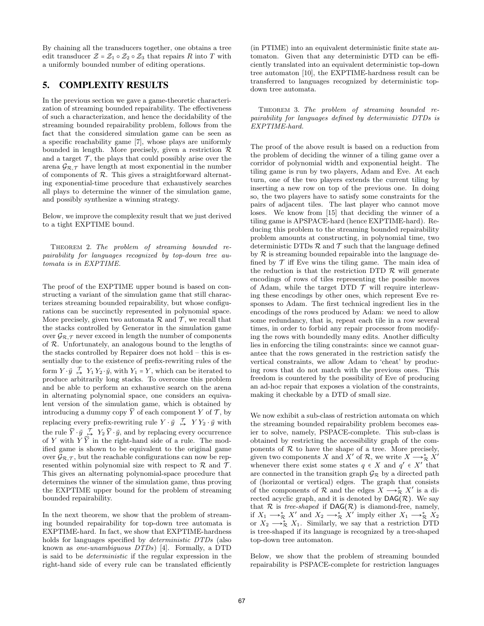By chaining all the transducers together, one obtains a tree edit transducer  $\mathcal{Z} = \mathcal{Z}_1 \circ \mathcal{Z}_2 \circ \mathcal{Z}_3$  that repairs R into T with a uniformly bounded number of editing operations.

#### 5. COMPLEXITY RESULTS

In the previous section we gave a game-theoretic characterization of streaming bounded repairability. The effectiveness of such a characterization, and hence the decidability of the streaming bounded repairability problem, follows from the fact that the considered simulation game can be seen as a specific reachability game [7], whose plays are uniformly bounded in length. More precisely, given a restriction  $\mathcal R$ and a target  $\mathcal T$ , the plays that could possibly arise over the arena  $\mathcal{G}_{\mathcal{R},\mathcal{T}}$  have length at most exponential in the number of components of  $R$ . This gives a straightforward alternating exponential-time procedure that exhaustively searches all plays to determine the winner of the simulation game, and possibly synthesize a winning strategy.

Below, we improve the complexity result that we just derived to a tight EXPTIME bound.

THEOREM 2. The problem of streaming bounded repairability for languages recognized by top-down tree automata is in EXPTIME.

The proof of the EXPTIME upper bound is based on constructing a variant of the simulation game that still characterizes streaming bounded repairability, but whose configurations can be succinctly represented in polynomial space. More precisely, given two automata  $\mathcal R$  and  $\mathcal T$ , we recall that the stacks controlled by Generator in the simulation game over  $\mathcal{G}_{\mathcal{R},\mathcal{T}}$  never exceed in length the number of components of R. Unfortunately, an analogous bound to the lengths of the stacks controlled by Repairer does not hold – this is essentially due to the existence of prefix-rewriting rules of the form  $Y \cdot \vec{y} \xrightarrow{\mathcal{T}} Y_1 Y_2 \cdot \vec{y}$ , with  $Y_1 = Y$ , which can be iterated to produce arbitrarily long stacks. To overcome this problem and be able to perform an exhaustive search on the arena in alternating polynomial space, one considers an equivalent version of the simulation game, which is obtained by introducing a dummy copy  $\widetilde{Y}$  of each component Y of  $\mathcal{T}$ , by replacing every prefix-rewriting rule  $Y \cdot \vec{y} \preceq Y Y_2 \cdot \vec{y}$  with the rule  $\widetilde{Y} \cdot \vec{y} \stackrel{\mathcal{T}}{\mapsto} Y_2 \widetilde{Y} \cdot \vec{y}$ , and by replacing every occurrence of Y with  $\tilde{Y} \tilde{Y}$  in the right-hand side of a rule. The modified game is shown to be equivalent to the original game over  $\mathcal{G}_{\mathcal{R},\mathcal{T}}$ , but the reachable configurations can now be represented within polynomial size with respect to  $\mathcal R$  and  $\mathcal T$ . This gives an alternating polynomial-space procedure that determines the winner of the simulation game, thus proving the EXPTIME upper bound for the problem of streaming bounded repairability.

In the next theorem, we show that the problem of streaming bounded repairability for top-down tree automata is EXPTIME-hard. In fact, we show that EXPTIME-hardness holds for languages specified by *deterministic DTDs* (also known as one-unambiguous DTDs) [4]. Formally, a DTD is said to be deterministic if the regular expression in the right-hand side of every rule can be translated efficiently

(in PTIME) into an equivalent deterministic finite state automaton. Given that any deterministic DTD can be efficiently translated into an equivalent deterministic top-down tree automaton [10], the EXPTIME-hardness result can be transferred to languages recognized by deterministic topdown tree automata.

THEOREM 3. The problem of streaming bounded repairability for languages defined by deterministic DTDs is EXPTIME-hard.

The proof of the above result is based on a reduction from the problem of deciding the winner of a tiling game over a corridor of polynomial width and exponential height. The tiling game is run by two players, Adam and Eve. At each turn, one of the two players extends the current tiling by inserting a new row on top of the previous one. In doing so, the two players have to satisfy some constraints for the pairs of adjacent tiles. The last player who cannot move loses. We know from [15] that deciding the winner of a tiling game is APSPACE-hard (hence EXPTIME-hard). Reducing this problem to the streaming bounded repairability problem amounts at constructing, in polynomial time, two deterministic DTDs  $\mathcal R$  and  $\mathcal T$  such that the language defined by  $R$  is streaming bounded repairable into the language defined by  $\mathcal T$  iff Eve wins the tiling game. The main idea of the reduction is that the restriction DTD  $\mathcal{R}$  will generate encodings of rows of tiles representing the possible moves of Adam, while the target DTD  $\mathcal T$  will require interleaving these encodings by other ones, which represent Eve responses to Adam. The first technical ingredient lies in the encodings of the rows produced by Adam: we need to allow some redundancy, that is, repeat each tile in a row several times, in order to forbid any repair processor from modifying the rows with boundedly many edits. Another difficulty lies in enforcing the tiling constraints: since we cannot guarantee that the rows generated in the restriction satisfy the vertical constraints, we allow Adam to 'cheat' by producing rows that do not match with the previous ones. This freedom is countered by the possibility of Eve of producing an ad-hoc repair that exposes a violation of the constraints, making it checkable by a DTD of small size.

We now exhibit a sub-class of restriction automata on which the streaming bounded repairability problem becomes easier to solve, namely, PSPACE-complete. This sub-class is obtained by restricting the accessibility graph of the components of  $R$  to have the shape of a tree. More precisely, given two components X and X' of R, we write  $X \longrightarrow_{\mathcal{R}}^* X'$ whenever there exist some states  $q \in X$  and  $q' \in X'$  that are connected in the transition graph  $\mathcal{G}_{\mathcal{R}}$  by a directed path of (horizontal or vertical) edges. The graph that consists of the components of  $R$  and the edges  $X \longrightarrow_R^* X'$  is a directed acyclic graph, and it is denoted by  $\mathsf{DAG}(\mathcal{R})$ . We say that  $\mathcal R$  is *tree-shaped* if  $\text{DAG}(\mathcal R)$  is diamond-free, namely, if  $X_1 \longrightarrow_{\mathcal{R}}^* X'$  and  $X_2 \longrightarrow_{\mathcal{R}}^* X'$  imply either  $X_1 \longrightarrow_{\mathcal{R}}^* X_2$ or  $X_2 \longrightarrow_{\mathcal{R}}^* X_1$ . Similarly, we say that a restriction DTD is tree-shaped if its language is recognized by a tree-shaped top-down tree automaton.

Below, we show that the problem of streaming bounded repairability is PSPACE-complete for restriction languages